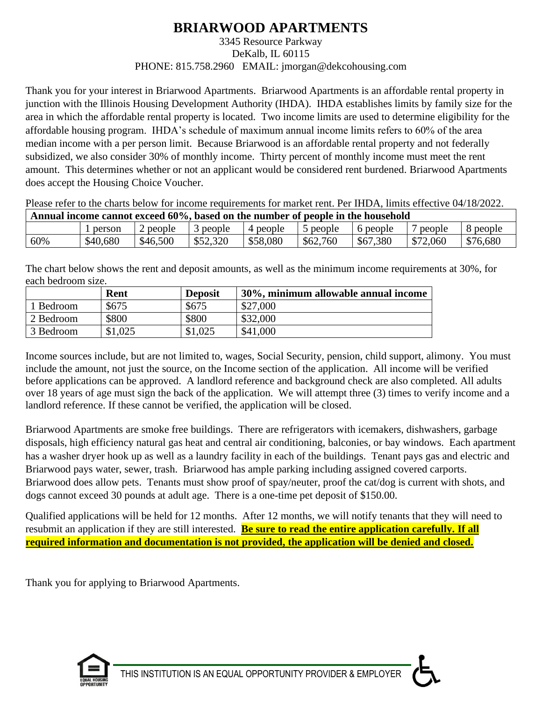# **BRIARWOOD APARTMENTS**

### 3345 Resource Parkway DeKalb, IL 60115 PHONE: 815.758.2960 EMAIL: jmorgan@dekcohousing.com

Thank you for your interest in Briarwood Apartments. Briarwood Apartments is an affordable rental property in junction with the Illinois Housing Development Authority (IHDA). IHDA establishes limits by family size for the area in which the affordable rental property is located. Two income limits are used to determine eligibility for the affordable housing program. IHDA's schedule of maximum annual income limits refers to 60% of the area median income with a per person limit. Because Briarwood is an affordable rental property and not federally subsidized, we also consider 30% of monthly income. Thirty percent of monthly income must meet the rent amount. This determines whether or not an applicant would be considered rent burdened. Briarwood Apartments does accept the Housing Choice Voucher.

Please refer to the charts below for income requirements for market rent. Per IHDA, limits effective 04/18/2022. **Annual income cannot exceed 60%, based on the number of people in the household**

| Allingal mcome calmol exceed by 70. Dased on the humber of beoble in the household |          |          |          |          |          |          |          |          |
|------------------------------------------------------------------------------------|----------|----------|----------|----------|----------|----------|----------|----------|
|                                                                                    | person   | people   | people   | 4 people | people و | 6 people | people   | people   |
| 60%                                                                                | \$40,680 | \$46,500 | \$52,320 | \$58,080 | \$62,760 | \$67,380 | \$72,060 | \$76,680 |

The chart below shows the rent and deposit amounts, as well as the minimum income requirements at 30%, for each bedroom size.

|           | Rent    | <b>Deposit</b> | 30%, minimum allowable annual income |
|-----------|---------|----------------|--------------------------------------|
| Bedroom   | \$675   | \$675          | \$27,000                             |
| 2 Bedroom | \$800   | \$800          | \$32,000                             |
| 3 Bedroom | \$1,025 | \$1,025        | \$41,000                             |

Income sources include, but are not limited to, wages, Social Security, pension, child support, alimony. You must include the amount, not just the source, on the Income section of the application. All income will be verified before applications can be approved. A landlord reference and background check are also completed. All adults over 18 years of age must sign the back of the application. We will attempt three (3) times to verify income and a landlord reference. If these cannot be verified, the application will be closed.

Briarwood Apartments are smoke free buildings. There are refrigerators with icemakers, dishwashers, garbage disposals, high efficiency natural gas heat and central air conditioning, balconies, or bay windows. Each apartment has a washer dryer hook up as well as a laundry facility in each of the buildings. Tenant pays gas and electric and Briarwood pays water, sewer, trash. Briarwood has ample parking including assigned covered carports. Briarwood does allow pets. Tenants must show proof of spay/neuter, proof the cat/dog is current with shots, and dogs cannot exceed 30 pounds at adult age. There is a one-time pet deposit of \$150.00.

Qualified applications will be held for 12 months. After 12 months, we will notify tenants that they will need to resubmit an application if they are still interested. **Be sure to read the entire application carefully. If all required information and documentation is not provided, the application will be denied and closed.**

Thank you for applying to Briarwood Apartments.

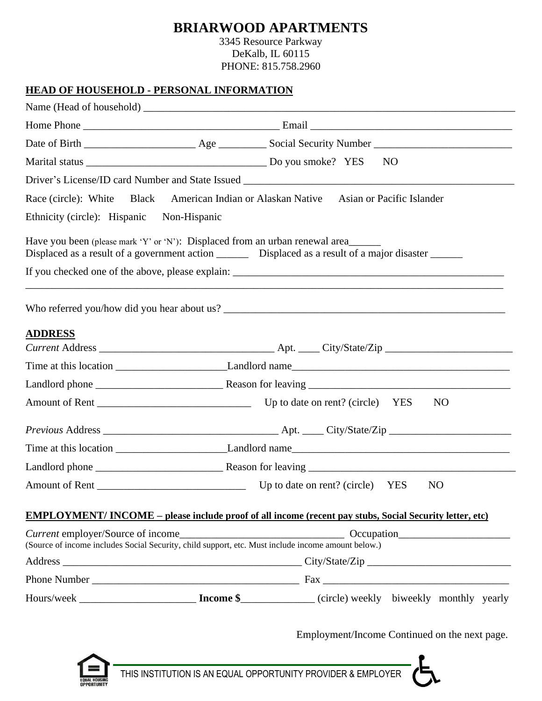# **BRIARWOOD APARTMENTS**

3345 Resource Parkway DeKalb, IL 60115 PHONE: 815.758.2960

## **HEAD OF HOUSEHOLD - PERSONAL INFORMATION**

| NO <sub>1</sub><br>Driver's License/ID card Number and State Issued ________________________________<br>Race (circle): White Black American Indian or Alaskan Native<br>Asian or Pacific Islander<br>Ethnicity (circle): Hispanic Non-Hispanic<br>Have you been (please mark 'Y' or 'N'): Displaced from an urban renewal area<br>Displaced as a result of a government action _________ Displaced as a result of a major disaster _______<br><b>ADDRESS</b><br>NO <sub>1</sub> |  |
|---------------------------------------------------------------------------------------------------------------------------------------------------------------------------------------------------------------------------------------------------------------------------------------------------------------------------------------------------------------------------------------------------------------------------------------------------------------------------------|--|
|                                                                                                                                                                                                                                                                                                                                                                                                                                                                                 |  |
|                                                                                                                                                                                                                                                                                                                                                                                                                                                                                 |  |
|                                                                                                                                                                                                                                                                                                                                                                                                                                                                                 |  |
|                                                                                                                                                                                                                                                                                                                                                                                                                                                                                 |  |
|                                                                                                                                                                                                                                                                                                                                                                                                                                                                                 |  |
|                                                                                                                                                                                                                                                                                                                                                                                                                                                                                 |  |
|                                                                                                                                                                                                                                                                                                                                                                                                                                                                                 |  |
|                                                                                                                                                                                                                                                                                                                                                                                                                                                                                 |  |
|                                                                                                                                                                                                                                                                                                                                                                                                                                                                                 |  |
|                                                                                                                                                                                                                                                                                                                                                                                                                                                                                 |  |
|                                                                                                                                                                                                                                                                                                                                                                                                                                                                                 |  |
|                                                                                                                                                                                                                                                                                                                                                                                                                                                                                 |  |
|                                                                                                                                                                                                                                                                                                                                                                                                                                                                                 |  |
|                                                                                                                                                                                                                                                                                                                                                                                                                                                                                 |  |
|                                                                                                                                                                                                                                                                                                                                                                                                                                                                                 |  |
|                                                                                                                                                                                                                                                                                                                                                                                                                                                                                 |  |
|                                                                                                                                                                                                                                                                                                                                                                                                                                                                                 |  |
| NO.                                                                                                                                                                                                                                                                                                                                                                                                                                                                             |  |
| <b>EMPLOYMENT/INCOME</b> – please include proof of all income (recent pay stubs, Social Security letter, etc)                                                                                                                                                                                                                                                                                                                                                                   |  |
| (Source of income includes Social Security, child support, etc. Must include income amount below.)                                                                                                                                                                                                                                                                                                                                                                              |  |
|                                                                                                                                                                                                                                                                                                                                                                                                                                                                                 |  |
|                                                                                                                                                                                                                                                                                                                                                                                                                                                                                 |  |
|                                                                                                                                                                                                                                                                                                                                                                                                                                                                                 |  |

Employment/Income Continued on the next page.



THIS INSTITUTION IS AN EQUAL OPPORTUNITY PROVIDER & EMPLOYER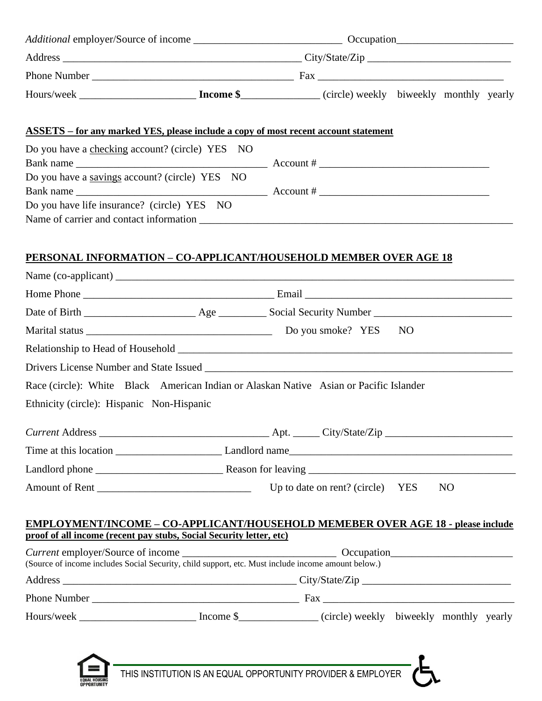| <b>ASSETS</b> – for any marked YES, please include a copy of most recent account statement                                                                                                                                                                                                                                                                                                                                                                     |                                                              |  |           |                |  |
|----------------------------------------------------------------------------------------------------------------------------------------------------------------------------------------------------------------------------------------------------------------------------------------------------------------------------------------------------------------------------------------------------------------------------------------------------------------|--------------------------------------------------------------|--|-----------|----------------|--|
| Do you have a checking account? (circle) YES NO<br>Bank name $\frac{1}{\sqrt{1-\frac{1}{2}}\sqrt{1-\frac{1}{2}}\sqrt{1-\frac{1}{2}}\sqrt{1-\frac{1}{2}}\sqrt{1-\frac{1}{2}}\sqrt{1-\frac{1}{2}}\sqrt{1-\frac{1}{2}}\sqrt{1-\frac{1}{2}}\sqrt{1-\frac{1}{2}}\sqrt{1-\frac{1}{2}}\sqrt{1-\frac{1}{2}}\sqrt{1-\frac{1}{2}}\sqrt{1-\frac{1}{2}}\sqrt{1-\frac{1}{2}}\sqrt{1-\frac{1}{2}}\sqrt{1-\frac{1}{2}}\sqrt{1-\frac{1}{2}}\sqrt{1-\frac{1}{2}}\sqrt{1-\frac{$ |                                                              |  |           |                |  |
| Do you have a savings account? (circle) YES NO                                                                                                                                                                                                                                                                                                                                                                                                                 |                                                              |  |           |                |  |
| Do you have life insurance? (circle) YES NO                                                                                                                                                                                                                                                                                                                                                                                                                    |                                                              |  |           |                |  |
| PERSONAL INFORMATION - CO-APPLICANT/HOUSEHOLD MEMBER OVER AGE 18                                                                                                                                                                                                                                                                                                                                                                                               |                                                              |  |           |                |  |
|                                                                                                                                                                                                                                                                                                                                                                                                                                                                |                                                              |  |           |                |  |
|                                                                                                                                                                                                                                                                                                                                                                                                                                                                |                                                              |  |           |                |  |
|                                                                                                                                                                                                                                                                                                                                                                                                                                                                |                                                              |  |           |                |  |
|                                                                                                                                                                                                                                                                                                                                                                                                                                                                |                                                              |  | <b>NO</b> |                |  |
|                                                                                                                                                                                                                                                                                                                                                                                                                                                                |                                                              |  |           |                |  |
|                                                                                                                                                                                                                                                                                                                                                                                                                                                                |                                                              |  |           |                |  |
| Race (circle): White Black American Indian or Alaskan Native Asian or Pacific Islander                                                                                                                                                                                                                                                                                                                                                                         |                                                              |  |           |                |  |
| Ethnicity (circle): Hispanic Non-Hispanic                                                                                                                                                                                                                                                                                                                                                                                                                      |                                                              |  |           |                |  |
|                                                                                                                                                                                                                                                                                                                                                                                                                                                                |                                                              |  |           |                |  |
|                                                                                                                                                                                                                                                                                                                                                                                                                                                                |                                                              |  |           |                |  |
|                                                                                                                                                                                                                                                                                                                                                                                                                                                                |                                                              |  |           |                |  |
|                                                                                                                                                                                                                                                                                                                                                                                                                                                                |                                                              |  |           | N <sub>O</sub> |  |
| <b>EMPLOYMENT/INCOME - CO-APPLICANT/HOUSEHOLD MEMEBER OVER AGE 18 - please include</b><br>proof of all income (recent pay stubs, Social Security letter, etc)                                                                                                                                                                                                                                                                                                  |                                                              |  |           |                |  |
| (Source of income includes Social Security, child support, etc. Must include income amount below.)                                                                                                                                                                                                                                                                                                                                                             |                                                              |  |           |                |  |
|                                                                                                                                                                                                                                                                                                                                                                                                                                                                |                                                              |  |           |                |  |
|                                                                                                                                                                                                                                                                                                                                                                                                                                                                |                                                              |  |           |                |  |
| Hours/week _________________________ Income \$_____________ (circle) weekly biweekly monthly yearly                                                                                                                                                                                                                                                                                                                                                            |                                                              |  |           |                |  |
|                                                                                                                                                                                                                                                                                                                                                                                                                                                                |                                                              |  |           |                |  |
|                                                                                                                                                                                                                                                                                                                                                                                                                                                                | THIS INSTITUTION IS AN EQUAL OPPORTUNITY PROVIDER & EMPLOYER |  |           |                |  |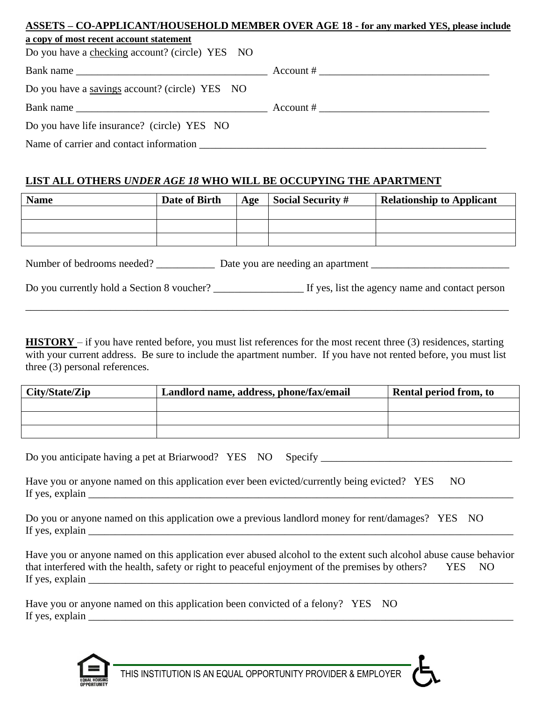# **ASSETS – CO-APPLICANT/HOUSEHOLD MEMBER OVER AGE 18 - for any marked YES, please include a copy of most recent account statement** Do you have a checking account? (circle) YES NO Bank name \_\_\_\_\_\_\_\_\_\_\_\_\_\_\_\_\_\_\_\_\_\_\_\_\_\_\_\_\_\_\_\_\_\_\_\_ Account # \_\_\_\_\_\_\_\_\_\_\_\_\_\_\_\_\_\_\_\_\_\_\_\_\_\_\_\_\_\_\_\_

| Do you have a savings account? (circle) YES NO |           |  |  |
|------------------------------------------------|-----------|--|--|
| Bank name                                      | Account # |  |  |

Name of carrier and contact information  $\blacksquare$ 

# **LIST ALL OTHERS** *UNDER AGE 18* **WHO WILL BE OCCUPYING THE APARTMENT**

| <b>Name</b>                                                     | Date of Birth | Age | <b>Social Security #</b> | <b>Relationship to Applicant</b> |  |
|-----------------------------------------------------------------|---------------|-----|--------------------------|----------------------------------|--|
|                                                                 |               |     |                          |                                  |  |
|                                                                 |               |     |                          |                                  |  |
|                                                                 |               |     |                          |                                  |  |
| Number of bedrooms needed?<br>Date you are needing an apartment |               |     |                          |                                  |  |

Do you currently hold a Section 8 voucher? <br>If yes, list the agency name and contact person

\_\_\_\_\_\_\_\_\_\_\_\_\_\_\_\_\_\_\_\_\_\_\_\_\_\_\_\_\_\_\_\_\_\_\_\_\_\_\_\_\_\_\_\_\_\_\_\_\_\_\_\_\_\_\_\_\_\_\_\_\_\_\_\_\_\_\_\_\_\_\_\_\_\_\_\_\_\_\_\_\_\_\_\_\_\_\_\_\_\_\_

**HISTORY** – if you have rented before, you must list references for the most recent three (3) residences, starting with your current address. Be sure to include the apartment number. If you have not rented before, you must list three (3) personal references.

| City/State/Zip | Landlord name, address, phone/fax/email | <b>Rental period from, to</b> |
|----------------|-----------------------------------------|-------------------------------|
|                |                                         |                               |
|                |                                         |                               |
|                |                                         |                               |

|  | Do you anticipate having a pet at Briarwood? YES NO Specify |  |  |
|--|-------------------------------------------------------------|--|--|
|  |                                                             |  |  |

| Have you or anyone named on this application ever been evicted/currently being evicted? YES NO |  |  |
|------------------------------------------------------------------------------------------------|--|--|
| If yes, explain                                                                                |  |  |

Do you or anyone named on this application owe a previous landlord money for rent/damages? YES NO If yes, explain  $\Box$ 

Have you or anyone named on this application ever abused alcohol to the extent such alcohol abuse cause behavior that interfered with the health, safety or right to peaceful enjoyment of the premises by others? YES NO If yes, explain \_\_\_\_\_\_\_\_\_\_\_\_\_\_\_\_\_\_\_\_\_\_\_\_\_\_\_\_\_\_\_\_\_\_\_\_\_\_\_\_\_\_\_\_\_\_\_\_\_\_\_\_\_\_\_\_\_\_\_\_\_\_\_\_\_\_\_\_\_\_\_\_\_\_\_\_\_\_\_\_

| Have you or anyone named on this application been convicted of a felony? YES NO |  |  |
|---------------------------------------------------------------------------------|--|--|
| If yes, explain                                                                 |  |  |

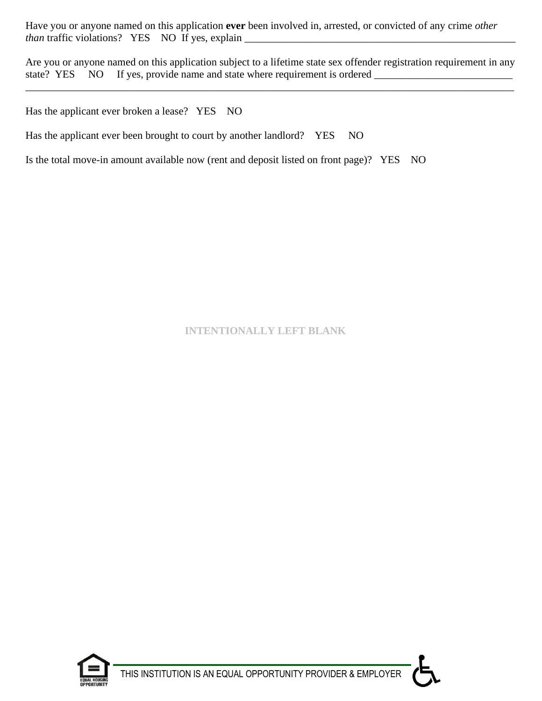Have you or anyone named on this application **ever** been involved in, arrested, or convicted of any crime *other than* traffic violations? YES NO If yes, explain \_\_\_\_\_\_\_\_\_\_\_\_\_\_\_\_\_\_\_\_\_\_\_\_\_\_\_\_\_\_\_\_\_\_\_\_\_\_\_\_\_\_\_\_\_\_\_\_\_\_\_

Are you or anyone named on this application subject to a lifetime state sex offender registration requirement in any state? YES NO If yes, provide name and state where requirement is ordered

\_\_\_\_\_\_\_\_\_\_\_\_\_\_\_\_\_\_\_\_\_\_\_\_\_\_\_\_\_\_\_\_\_\_\_\_\_\_\_\_\_\_\_\_\_\_\_\_\_\_\_\_\_\_\_\_\_\_\_\_\_\_\_\_\_\_\_\_\_\_\_\_\_\_\_\_\_\_\_\_\_\_\_\_\_\_\_\_\_\_\_\_

Has the applicant ever broken a lease? YES NO

Has the applicant ever been brought to court by another landlord? YES NO

Is the total move-in amount available now (rent and deposit listed on front page)? YES NO

# **INTENTIONALLY LEFT BLANK**



THIS INSTITUTION IS AN EQUAL OPPORTUNITY PROVIDER & EMPLOYER